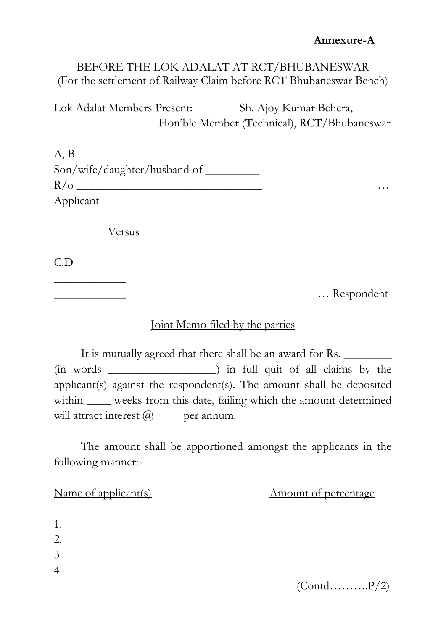### BEFORE THE LOK ADALAT AT RCT/BHUBANESWAR (For the settlement of Railway Claim before RCT Bhubaneswar Bench)

Lok Adalat Members Present: Sh. Ajoy Kumar Behera, Hon'ble Member (Technical), RCT/Bhubaneswar

A, B Son/wife/daughter/husband of \_\_\_\_\_\_\_\_\_ R/o \_\_\_\_\_\_\_\_\_\_\_\_\_\_\_\_\_\_\_\_\_\_\_\_\_\_\_\_\_\_\_ … Applicant

Versus

C.D

 $\overline{\phantom{a}}$  , where  $\overline{\phantom{a}}$ 

\_\_\_\_\_\_\_\_\_\_\_\_ … Respondent

### Joint Memo filed by the parties

It is mutually agreed that there shall be an award for Rs. (in words \_\_\_\_\_\_\_\_\_\_\_\_\_\_\_\_\_\_) in full quit of all claims by the applicant(s) against the respondent(s). The amount shall be deposited within \_\_\_\_\_ weeks from this date, failing which the amount determined will attract interest  $@$  \_\_\_\_ per annum.

The amount shall be apportioned amongst the applicants in the following manner:-

Name of applicant(s) Mame of applicant(s) Amount of percentage

1. 2. 3 4

 $(Cond.\dots . . . . . P/2)$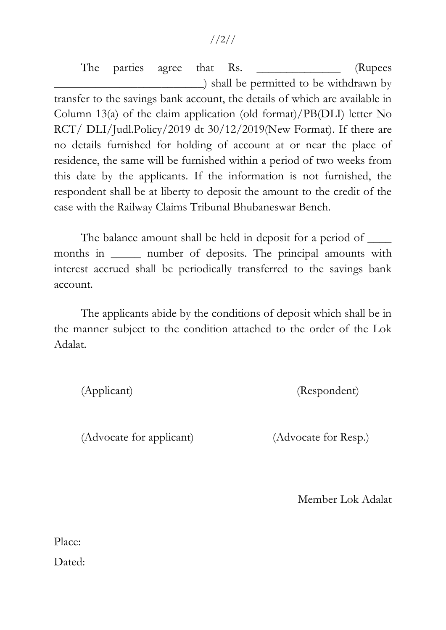#### //2//

The parties agree that Rs. \_\_\_\_\_\_\_\_\_\_\_\_\_\_ (Rupees \_\_\_\_\_\_\_\_\_\_\_\_\_\_\_\_\_\_\_\_\_\_\_\_\_) shall be permitted to be withdrawn by transfer to the savings bank account, the details of which are available in Column 13(a) of the claim application (old format)/PB(DLI) letter No RCT/ DLI/Judl.Policy/2019 dt 30/12/2019(New Format). If there are no details furnished for holding of account at or near the place of residence, the same will be furnished within a period of two weeks from this date by the applicants. If the information is not furnished, the respondent shall be at liberty to deposit the amount to the credit of the case with the Railway Claims Tribunal Bhubaneswar Bench.

The balance amount shall be held in deposit for a period of  $\qquad$ months in \_\_\_\_\_\_\_ number of deposits. The principal amounts with interest accrued shall be periodically transferred to the savings bank account.

The applicants abide by the conditions of deposit which shall be in the manner subject to the condition attached to the order of the Lok Adalat.

(Applicant) (Respondent)

(Advocate for applicant) (Advocate for Resp.)

Member Lok Adalat

Place:

Dated: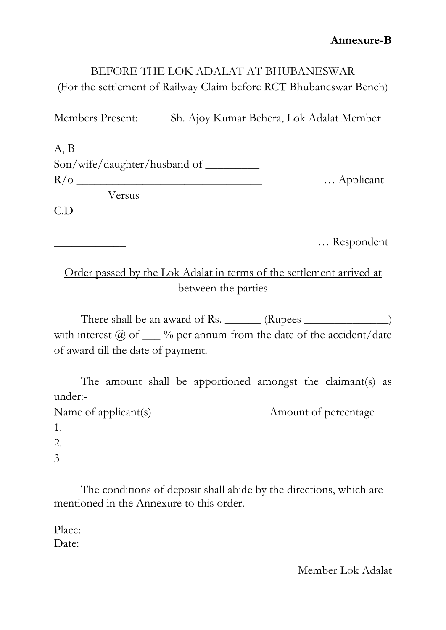# BEFORE THE LOK ADALAT AT BHUBANESWAR (For the settlement of Railway Claim before RCT Bhubaneswar Bench)

Members Present: Sh. Ajoy Kumar Behera, Lok Adalat Member

| A, B                         |           |
|------------------------------|-----------|
| Son/wife/daughter/husband of |           |
| $R/\text{o}$                 | Applicant |
| Versus                       |           |
| C.D                          |           |
|                              |           |

\_\_\_\_\_\_\_\_\_\_\_\_ … Respondent

# Order passed by the Lok Adalat in terms of the settlement arrived at between the parties

There shall be an award of Rs. \_\_\_\_\_\_\_ (Rupees \_\_\_\_\_\_\_\_\_\_\_\_\_\_\_) with interest  $@$  of  $__$  % per annum from the date of the accident/date of award till the date of payment.

The amount shall be apportioned amongst the claimant(s) as under:-

# Name of applicant(s) Mame of applicant(s) Amount of percentage

| 1. |  |  |  |
|----|--|--|--|
| 2. |  |  |  |
| 3  |  |  |  |

The conditions of deposit shall abide by the directions, which are mentioned in the Annexure to this order.

Place: Date:

Member Lok Adalat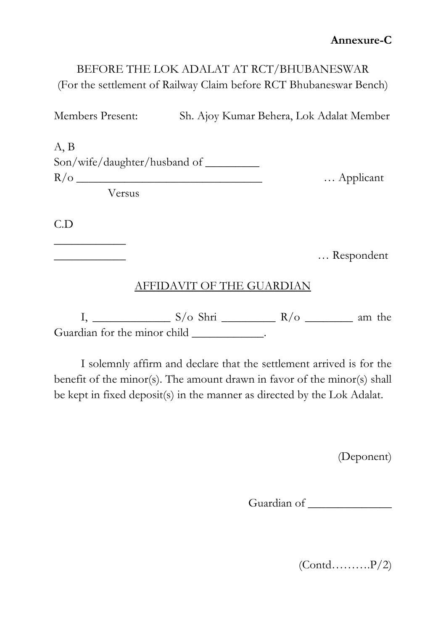# BEFORE THE LOK ADALAT AT RCT/BHUBANESWAR (For the settlement of Railway Claim before RCT Bhubaneswar Bench)

Members Present: Sh. Ajoy Kumar Behera, Lok Adalat Member

A, B Son/wife/daughter/husband of R/o \_\_\_\_\_\_\_\_\_\_\_\_\_\_\_\_\_\_\_\_\_\_\_\_\_\_\_\_\_\_\_ … Applicant Versus

C.D

 $\overline{\phantom{a}}$  , where  $\overline{\phantom{a}}$ 

\_\_\_\_\_\_\_\_\_\_\_\_ … Respondent

### AFFIDAVIT OF THE GUARDIAN

I, \_\_\_\_\_\_\_\_\_\_\_\_\_ S/o Shri \_\_\_\_\_\_\_\_\_ R/o \_\_\_\_\_\_\_\_ am the Guardian for the minor child \_\_\_\_\_\_\_\_\_\_\_\_\_.

I solemnly affirm and declare that the settlement arrived is for the benefit of the minor(s). The amount drawn in favor of the minor(s) shall be kept in fixed deposit(s) in the manner as directed by the Lok Adalat.

(Deponent)

Guardian of \_\_\_\_\_\_\_\_\_\_\_\_\_\_

 $(Cond.\dots . . . . . P/2)$